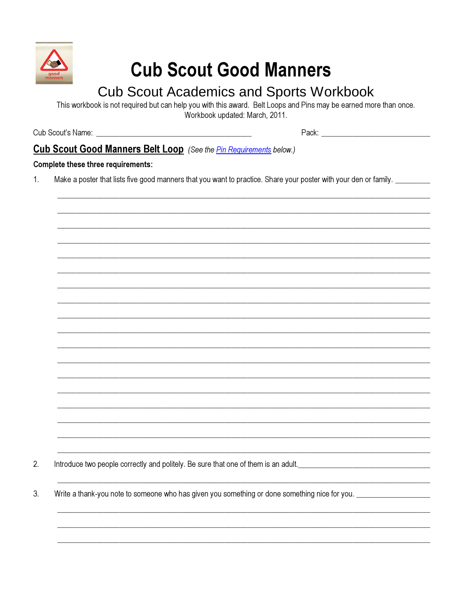

# **Cub Scout Good Manners**

# **Cub Scout Academics and Sports Workbook**

This workbook is not required but can help you with this award. Belt Loops and Pins may be earned more than once. Workbook updated: March, 2011.

Pack: Pack and the contract of the contract of the contract of the contract of the contract of the contract of the contract of the contract of the contract of the contract of the contract of the contract of the contract of

## Cub Scout Good Manners Belt Loop (See the *Pin Requirements below.)*

#### Complete these three requirements:

Make a poster that lists five good manners that you want to practice. Share your poster with your den or family. \_\_\_\_\_\_\_\_  $1<sub>1</sub>$ 

Introduce two people correctly and politely. Be sure that one of them is an adult.  $2.$ 

 $3.$ Write a thank-you note to someone who has given you something or done something nice for you.